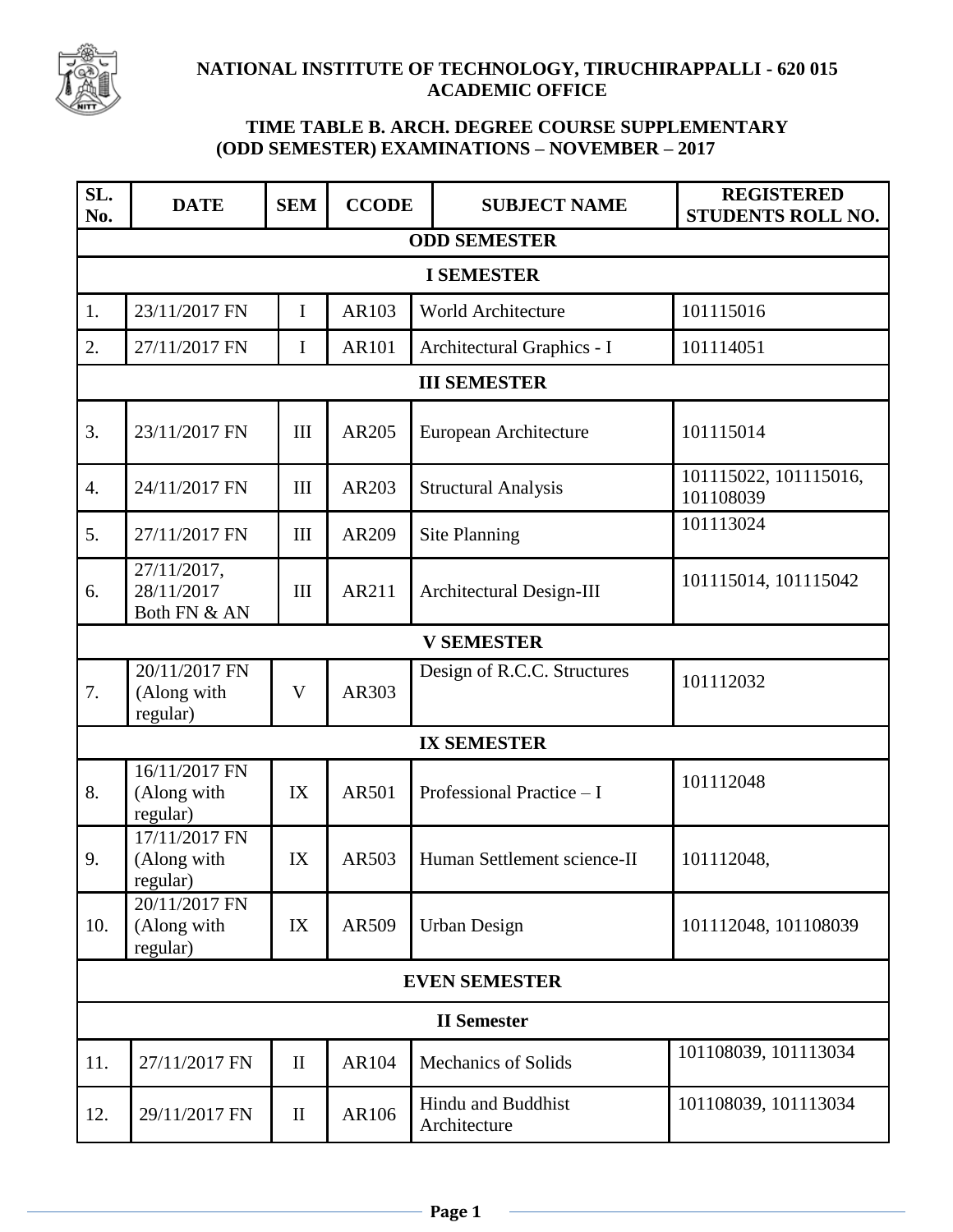

## **NATIONAL INSTITUTE OF TECHNOLOGY, TIRUCHIRAPPALLI - 620 015 ACADEMIC OFFICE**

## **TIME TABLE B. ARCH. DEGREE COURSE SUPPLEMENTARY (ODD SEMESTER) EXAMINATIONS – NOVEMBER – 2017**

| SL.<br>No.           | <b>DATE</b>                               | <b>SEM</b>   | <b>CCODE</b> | <b>SUBJECT NAME</b>                | <b>REGISTERED</b><br>STUDENTS ROLL NO. |  |  |  |  |
|----------------------|-------------------------------------------|--------------|--------------|------------------------------------|----------------------------------------|--|--|--|--|
| <b>ODD SEMESTER</b>  |                                           |              |              |                                    |                                        |  |  |  |  |
| <b>I SEMESTER</b>    |                                           |              |              |                                    |                                        |  |  |  |  |
| 1.                   | 23/11/2017 FN                             | I            | AR103        | <b>World Architecture</b>          | 101115016                              |  |  |  |  |
| 2.                   | 27/11/2017 FN                             | I            | AR101        | Architectural Graphics - I         | 101114051                              |  |  |  |  |
| <b>III SEMESTER</b>  |                                           |              |              |                                    |                                        |  |  |  |  |
| 3.                   | 23/11/2017 FN                             | III          | AR205        | European Architecture              | 101115014                              |  |  |  |  |
| $\overline{4}$ .     | 24/11/2017 FN                             | III          | AR203        | <b>Structural Analysis</b>         | 101115022, 101115016,<br>101108039     |  |  |  |  |
| 5.                   | 27/11/2017 FN                             | III          | AR209        | <b>Site Planning</b>               | 101113024                              |  |  |  |  |
| 6.                   | 27/11/2017,<br>28/11/2017<br>Both FN & AN | III          | AR211        | Architectural Design-III           | 101115014, 101115042                   |  |  |  |  |
| <b>V SEMESTER</b>    |                                           |              |              |                                    |                                        |  |  |  |  |
| 7.                   | 20/11/2017 FN<br>(Along with<br>regular)  | V            | AR303        | Design of R.C.C. Structures        | 101112032                              |  |  |  |  |
| <b>IX SEMESTER</b>   |                                           |              |              |                                    |                                        |  |  |  |  |
| 8.                   | 16/11/2017 FN<br>(Along with<br>regular)  | IX           | <b>AR501</b> | Professional Practice - I          | 101112048                              |  |  |  |  |
| 9.                   | 17/11/2017 FN<br>(Along with<br>regular)  | IX           | AR503        | Human Settlement science-II        | 101112048,                             |  |  |  |  |
| 10.                  | 20/11/2017 FN<br>(Along with<br>regular)  | IX           | AR509        | <b>Urban Design</b>                | 101112048, 101108039                   |  |  |  |  |
| <b>EVEN SEMESTER</b> |                                           |              |              |                                    |                                        |  |  |  |  |
| <b>II</b> Semester   |                                           |              |              |                                    |                                        |  |  |  |  |
| 11.                  | 27/11/2017 FN                             | $\mathbf{I}$ | AR104        | <b>Mechanics of Solids</b>         | 101108039, 101113034                   |  |  |  |  |
| 12.                  | 29/11/2017 FN                             | $\mathbf{I}$ | AR106        | Hindu and Buddhist<br>Architecture | 101108039, 101113034                   |  |  |  |  |